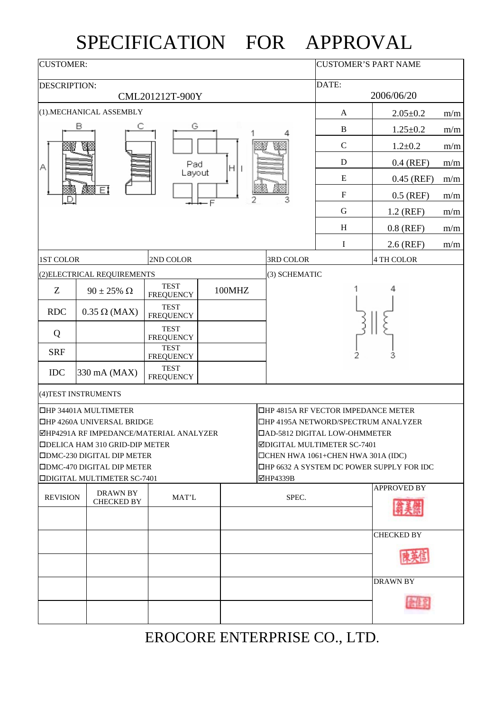## SPECIFICATION FOR APPROVAL

| <b>CUSTOMER:</b>                                                           |                                                                            | <b>CUSTOMER'S PART NAME</b>     |                                                                                       |               |                |                    |     |  |
|----------------------------------------------------------------------------|----------------------------------------------------------------------------|---------------------------------|---------------------------------------------------------------------------------------|---------------|----------------|--------------------|-----|--|
| <b>DESCRIPTION:</b>                                                        |                                                                            | DATE:                           |                                                                                       |               |                |                    |     |  |
|                                                                            | CML201212T-900Y                                                            |                                 | 2006/06/20                                                                            |               |                |                    |     |  |
|                                                                            | (1).MECHANICAL ASSEMBLY                                                    | A                               | $2.05 \pm 0.2$                                                                        | m/m           |                |                    |     |  |
|                                                                            | в                                                                          | G                               |                                                                                       | $\, {\bf B}$  | $1.25 \pm 0.2$ | m/m                |     |  |
|                                                                            |                                                                            |                                 |                                                                                       | $\mathsf{C}$  | $1.2 \pm 0.2$  | m/m                |     |  |
| Α                                                                          |                                                                            | Pad                             |                                                                                       | D             | $0.4$ (REF)    | m/m                |     |  |
|                                                                            |                                                                            | Layout                          |                                                                                       | E             | $0.45$ (REF)   | m/m                |     |  |
|                                                                            | Ø.<br>π                                                                    |                                 |                                                                                       | $\mathbf F$   | $0.5$ (REF)    | m/m                |     |  |
|                                                                            |                                                                            |                                 |                                                                                       | G             | 1.2 (REF)      | m/m                |     |  |
|                                                                            |                                                                            |                                 |                                                                                       |               | H              | $0.8$ (REF)        | m/m |  |
|                                                                            |                                                                            |                                 |                                                                                       |               | I              | 2.6 (REF)          | m/m |  |
| <b>1ST COLOR</b>                                                           |                                                                            | 2ND COLOR                       |                                                                                       | 3RD COLOR     |                | <b>4 TH COLOR</b>  |     |  |
|                                                                            | (2) ELECTRICAL REQUIREMENTS                                                |                                 |                                                                                       | (3) SCHEMATIC |                |                    |     |  |
| Z                                                                          | $90 \pm 25\%$ $\Omega$                                                     | <b>TEST</b><br><b>FREQUENCY</b> | 100MHZ                                                                                |               |                |                    |     |  |
| <b>RDC</b>                                                                 | $0.35 \Omega$ (MAX)                                                        | <b>TEST</b><br><b>FREQUENCY</b> |                                                                                       |               |                |                    |     |  |
| Q                                                                          |                                                                            | <b>TEST</b><br><b>FREQUENCY</b> |                                                                                       |               |                |                    |     |  |
| <b>SRF</b>                                                                 |                                                                            | <b>TEST</b><br><b>FREQUENCY</b> |                                                                                       | 3             |                |                    |     |  |
| <b>IDC</b>                                                                 | 330 mA (MAX)                                                               | <b>TEST</b><br><b>FREQUENCY</b> |                                                                                       |               |                |                    |     |  |
|                                                                            | (4) TEST INSTRUMENTS                                                       |                                 |                                                                                       |               |                |                    |     |  |
| <b>OHP 34401A MULTIMETER</b><br><b>THP 4815A RF VECTOR IMPEDANCE METER</b> |                                                                            |                                 |                                                                                       |               |                |                    |     |  |
|                                                                            | □HP 4260A UNIVERSAL BRIDGE                                                 |                                 | □HP 4195A NETWORD/SPECTRUM ANALYZER                                                   |               |                |                    |     |  |
|                                                                            | ØHP4291A RF IMPEDANCE/MATERIAL ANALYZER                                    |                                 | <b>OAD-5812 DIGITAL LOW-OHMMETER</b>                                                  |               |                |                    |     |  |
|                                                                            | <b>IDELICA HAM 310 GRID-DIP METER</b><br><b>DDMC-230 DIGITAL DIP METER</b> |                                 | ⊠DIGITAL MULTIMETER SC-7401                                                           |               |                |                    |     |  |
|                                                                            | <b>ODMC-470 DIGITAL DIP METER</b>                                          |                                 | $\Box$ CHEN HWA 1061+CHEN HWA 301A (IDC)<br>□HP 6632 A SYSTEM DC POWER SUPPLY FOR IDC |               |                |                    |     |  |
|                                                                            | <b>ODIGITAL MULTIMETER SC-7401</b>                                         |                                 | ■HP4339B                                                                              |               |                |                    |     |  |
| <b>REVISION</b>                                                            | <b>DRAWN BY</b><br><b>CHECKED BY</b>                                       | MAT'L                           |                                                                                       | SPEC.         |                | <b>APPROVED BY</b> |     |  |
|                                                                            |                                                                            |                                 |                                                                                       |               |                |                    |     |  |
|                                                                            |                                                                            |                                 |                                                                                       |               |                | <b>CHECKED BY</b>  |     |  |
|                                                                            |                                                                            |                                 |                                                                                       |               |                |                    |     |  |
|                                                                            |                                                                            |                                 |                                                                                       |               |                | <b>DRAWN BY</b>    |     |  |
|                                                                            |                                                                            |                                 |                                                                                       |               |                |                    |     |  |

## EROCORE ENTERPRISE CO., LTD.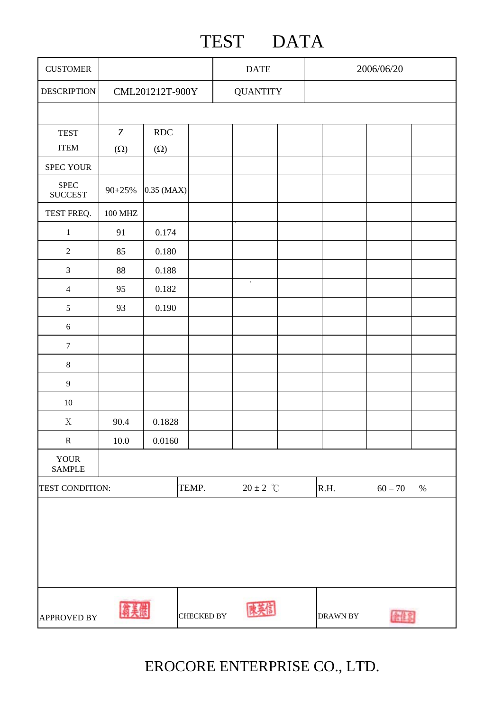## TEST DATA

| <b>CUSTOMER</b>                                            |                               |            | <b>DATE</b> |                          |  | 2006/06/20        |  |      |  |
|------------------------------------------------------------|-------------------------------|------------|-------------|--------------------------|--|-------------------|--|------|--|
| <b>DESCRIPTION</b>                                         | CML201212T-900Y               |            |             | <b>QUANTITY</b>          |  |                   |  |      |  |
|                                                            |                               |            |             |                          |  |                   |  |      |  |
| <b>TEST</b>                                                | $\ensuremath{\textnormal{Z}}$ | RDC        |             |                          |  |                   |  |      |  |
| <b>ITEM</b>                                                | $(\Omega)$                    | $(\Omega)$ |             |                          |  |                   |  |      |  |
| <b>SPEC YOUR</b>                                           |                               |            |             |                          |  |                   |  |      |  |
| ${\rm SPEC}$<br>$\boldsymbol{\mathrm{SUCCEST}}$            | 90±25%                        | 0.35 (MAX) |             |                          |  |                   |  |      |  |
| TEST FREQ.                                                 | <b>100 MHZ</b>                |            |             |                          |  |                   |  |      |  |
| $\,1$                                                      | 91                            | 0.174      |             |                          |  |                   |  |      |  |
| $\overline{2}$                                             | 85                            | 0.180      |             |                          |  |                   |  |      |  |
| $\mathfrak{Z}$                                             | 88                            | 0.188      |             |                          |  |                   |  |      |  |
| $\overline{4}$                                             | 95                            | 0.182      |             | $\bullet$                |  |                   |  |      |  |
| 5                                                          | 93                            | 0.190      |             |                          |  |                   |  |      |  |
| $\sqrt{6}$                                                 |                               |            |             |                          |  |                   |  |      |  |
| $\boldsymbol{7}$                                           |                               |            |             |                          |  |                   |  |      |  |
| $\,8\,$                                                    |                               |            |             |                          |  |                   |  |      |  |
| $\overline{9}$                                             |                               |            |             |                          |  |                   |  |      |  |
| $10\,$                                                     |                               |            |             |                          |  |                   |  |      |  |
| $\mathbf X$                                                | 90.4                          | 0.1828     |             |                          |  |                   |  |      |  |
| ${\bf R}$                                                  | $10.0\,$                      | $0.0160\,$ |             |                          |  |                   |  |      |  |
| <b>YOUR</b><br><b>SAMPLE</b>                               |                               |            |             |                          |  |                   |  |      |  |
| TEMP.<br>TEST CONDITION:                                   |                               |            |             | $20\pm2~\degree\text{C}$ |  | R.H.<br>$60 - 70$ |  | $\%$ |  |
|                                                            |                               |            |             |                          |  |                   |  |      |  |
| <b>CHECKED BY</b><br>DRAWN BY<br><b>APPROVED BY</b><br>全住家 |                               |            |             |                          |  |                   |  |      |  |

EROCORE ENTERPRISE CO., LTD.